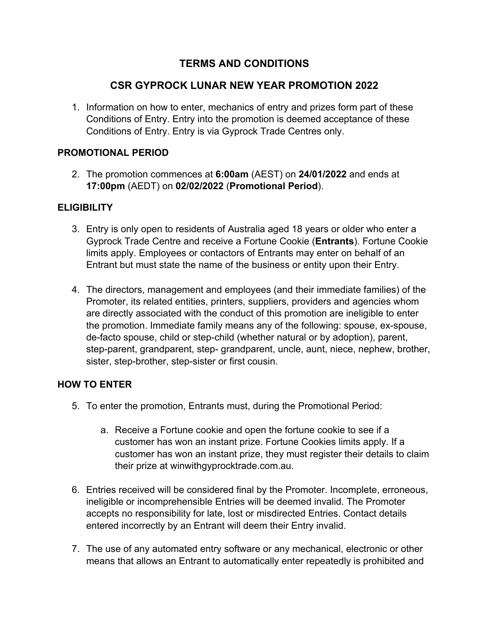# **TERMS AND CONDITIONS**

# **CSR GYPROCK LUNAR NEW YEAR PROMOTION 2022**

1. Information on how to enter, mechanics of entry and prizes form part of these Conditions of Entry. Entry into the promotion is deemed acceptance of these Conditions of Entry. Entry is via Gyprock Trade Centres only.

## **PROMOTIONAL PERIOD**

2. The promotion commences at **6:00am** (AEST) on **24/01/2022** and ends at **17:00pm** (AEDT) on **02/02/2022** (**Promotional Period**).

## **ELIGIBILITY**

- 3. Entry is only open to residents of Australia aged 18 years or older who enter a Gyprock Trade Centre and receive a Fortune Cookie (**Entrants**). Fortune Cookie limits apply. Employees or contactors of Entrants may enter on behalf of an Entrant but must state the name of the business or entity upon their Entry.
- 4. The directors, management and employees (and their immediate families) of the Promoter, its related entities, printers, suppliers, providers and agencies whom are directly associated with the conduct of this promotion are ineligible to enter the promotion. Immediate family means any of the following: spouse, ex-spouse, de-facto spouse, child or step-child (whether natural or by adoption), parent, step-parent, grandparent, step- grandparent, uncle, aunt, niece, nephew, brother, sister, step-brother, step-sister or first cousin.

#### **HOW TO ENTER**

- 5. To enter the promotion, Entrants must, during the Promotional Period:
	- a. Receive a Fortune cookie and open the fortune cookie to see if a customer has won an instant prize. Fortune Cookies limits apply. If a customer has won an instant prize, they must register their details to claim their prize at winwithgyprocktrade.com.au.
- 6. Entries received will be considered final by the Promoter. Incomplete, erroneous, ineligible or incomprehensible Entries will be deemed invalid. The Promoter accepts no responsibility for late, lost or misdirected Entries. Contact details entered incorrectly by an Entrant will deem their Entry invalid.
- 7. The use of any automated entry software or any mechanical, electronic or other means that allows an Entrant to automatically enter repeatedly is prohibited and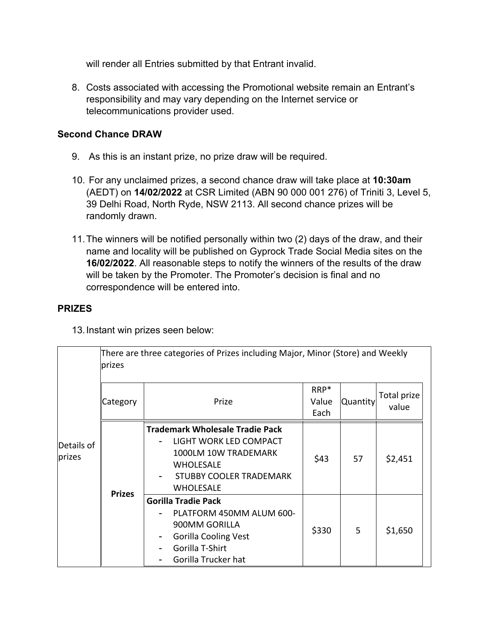will render all Entries submitted by that Entrant invalid.

8. Costs associated with accessing the Promotional website remain an Entrant's responsibility and may vary depending on the Internet service or telecommunications provider used.

## **Second Chance DRAW**

- 9. As this is an instant prize, no prize draw will be required.
- 10. For any unclaimed prizes, a second chance draw will take place at **10:30am**  (AEDT) on **14/02/2022** at CSR Limited (ABN 90 000 001 276) of Triniti 3, Level 5, 39 Delhi Road, North Ryde, NSW 2113. All second chance prizes will be randomly drawn.
- 11.The winners will be notified personally within two (2) days of the draw, and their name and locality will be published on Gyprock Trade Social Media sites on the **16/02/2022**. All reasonable steps to notify the winners of the results of the draw will be taken by the Promoter. The Promoter's decision is final and no correspondence will be entered into.

## **PRIZES**

13.Instant win prizes seen below:

|                      | There are three categories of Prizes including Major, Minor (Store) and Weekly<br>prizes |                                                                                                                                                                    |                       |                 |                      |  |  |  |
|----------------------|------------------------------------------------------------------------------------------|--------------------------------------------------------------------------------------------------------------------------------------------------------------------|-----------------------|-----------------|----------------------|--|--|--|
| Details of<br>prizes | Category                                                                                 | Prize                                                                                                                                                              | RRP*<br>Value<br>Each | <b>Quantity</b> | Total prize<br>value |  |  |  |
|                      | <b>Prizes</b>                                                                            | <b>Trademark Wholesale Tradie Pack</b><br>LIGHT WORK LED COMPACT<br>1000LM 10W TRADEMARK<br><b>WHOLESALE</b><br><b>STUBBY COOLER TRADEMARK</b><br><b>WHOLESALE</b> | \$43                  | 57              | \$2,451              |  |  |  |
|                      |                                                                                          | <b>Gorilla Tradie Pack</b><br>PLATFORM 450MM ALUM 600-<br>900MM GORILLA<br><b>Gorilla Cooling Vest</b><br>Gorilla T-Shirt<br>Gorilla Trucker hat                   | \$330                 | 5               | \$1,650              |  |  |  |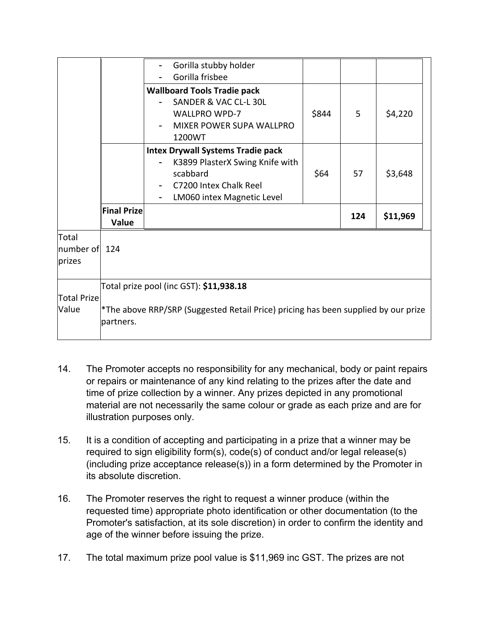|                                  |                                                                                                                                            | Gorilla stubby holder<br>Gorilla frisbee                                                                                                        |       |     |          |  |  |
|----------------------------------|--------------------------------------------------------------------------------------------------------------------------------------------|-------------------------------------------------------------------------------------------------------------------------------------------------|-------|-----|----------|--|--|
|                                  |                                                                                                                                            | <b>Wallboard Tools Tradie pack</b><br>SANDER & VAC CL-L 30L<br><b>WALLPRO WPD-7</b><br><b>MIXER POWER SUPA WALLPRO</b><br>1200WT                | \$844 | 5   | \$4,220  |  |  |
|                                  |                                                                                                                                            | <b>Intex Drywall Systems Tradie pack</b><br>K3899 PlasterX Swing Knife with<br>scabbard<br>C7200 Intex Chalk Reel<br>LM060 intex Magnetic Level | \$64  | 57  | \$3,648  |  |  |
|                                  | <b>Final Prize</b><br>Value                                                                                                                |                                                                                                                                                 |       | 124 | \$11,969 |  |  |
| Total<br>number of 124<br>prizes |                                                                                                                                            |                                                                                                                                                 |       |     |          |  |  |
| <b>Total Prize</b><br>Value      | Total prize pool (inc GST): \$11,938.18<br>*The above RRP/SRP (Suggested Retail Price) pricing has been supplied by our prize<br>partners. |                                                                                                                                                 |       |     |          |  |  |

- 14. The Promoter accepts no responsibility for any mechanical, body or paint repairs or repairs or maintenance of any kind relating to the prizes after the date and time of prize collection by a winner. Any prizes depicted in any promotional material are not necessarily the same colour or grade as each prize and are for illustration purposes only.
- 15. It is a condition of accepting and participating in a prize that a winner may be required to sign eligibility form(s), code(s) of conduct and/or legal release(s) (including prize acceptance release(s)) in a form determined by the Promoter in its absolute discretion.
- 16. The Promoter reserves the right to request a winner produce (within the requested time) appropriate photo identification or other documentation (to the Promoter's satisfaction, at its sole discretion) in order to confirm the identity and age of the winner before issuing the prize.
- 17. The total maximum prize pool value is \$11,969 inc GST. The prizes are not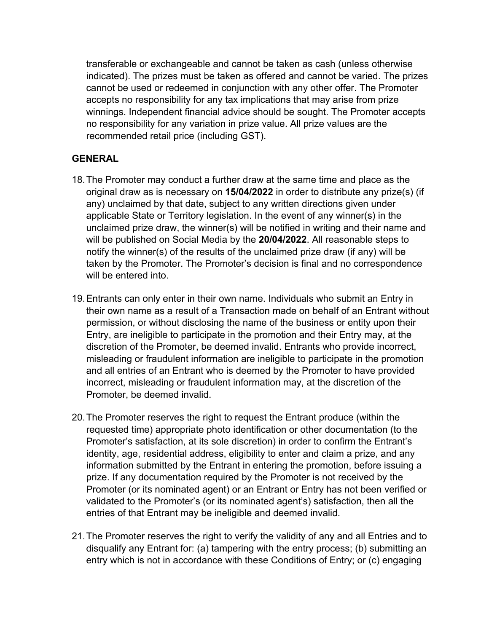transferable or exchangeable and cannot be taken as cash (unless otherwise indicated). The prizes must be taken as offered and cannot be varied. The prizes cannot be used or redeemed in conjunction with any other offer. The Promoter accepts no responsibility for any tax implications that may arise from prize winnings. Independent financial advice should be sought. The Promoter accepts no responsibility for any variation in prize value. All prize values are the recommended retail price (including GST).

## **GENERAL**

- 18.The Promoter may conduct a further draw at the same time and place as the original draw as is necessary on **15/04/2022** in order to distribute any prize(s) (if any) unclaimed by that date, subject to any written directions given under applicable State or Territory legislation. In the event of any winner(s) in the unclaimed prize draw, the winner(s) will be notified in writing and their name and will be published on Social Media by the **20/04/2022**. All reasonable steps to notify the winner(s) of the results of the unclaimed prize draw (if any) will be taken by the Promoter. The Promoter's decision is final and no correspondence will be entered into.
- 19.Entrants can only enter in their own name. Individuals who submit an Entry in their own name as a result of a Transaction made on behalf of an Entrant without permission, or without disclosing the name of the business or entity upon their Entry, are ineligible to participate in the promotion and their Entry may, at the discretion of the Promoter, be deemed invalid. Entrants who provide incorrect, misleading or fraudulent information are ineligible to participate in the promotion and all entries of an Entrant who is deemed by the Promoter to have provided incorrect, misleading or fraudulent information may, at the discretion of the Promoter, be deemed invalid.
- 20.The Promoter reserves the right to request the Entrant produce (within the requested time) appropriate photo identification or other documentation (to the Promoter's satisfaction, at its sole discretion) in order to confirm the Entrant's identity, age, residential address, eligibility to enter and claim a prize, and any information submitted by the Entrant in entering the promotion, before issuing a prize. If any documentation required by the Promoter is not received by the Promoter (or its nominated agent) or an Entrant or Entry has not been verified or validated to the Promoter's (or its nominated agent's) satisfaction, then all the entries of that Entrant may be ineligible and deemed invalid.
- 21.The Promoter reserves the right to verify the validity of any and all Entries and to disqualify any Entrant for: (a) tampering with the entry process; (b) submitting an entry which is not in accordance with these Conditions of Entry; or (c) engaging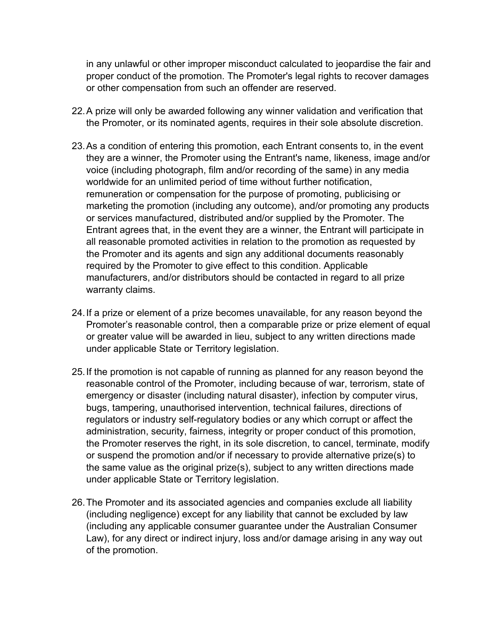in any unlawful or other improper misconduct calculated to jeopardise the fair and proper conduct of the promotion. The Promoter's legal rights to recover damages or other compensation from such an offender are reserved.

- 22.A prize will only be awarded following any winner validation and verification that the Promoter, or its nominated agents, requires in their sole absolute discretion.
- 23.As a condition of entering this promotion, each Entrant consents to, in the event they are a winner, the Promoter using the Entrant's name, likeness, image and/or voice (including photograph, film and/or recording of the same) in any media worldwide for an unlimited period of time without further notification, remuneration or compensation for the purpose of promoting, publicising or marketing the promotion (including any outcome), and/or promoting any products or services manufactured, distributed and/or supplied by the Promoter. The Entrant agrees that, in the event they are a winner, the Entrant will participate in all reasonable promoted activities in relation to the promotion as requested by the Promoter and its agents and sign any additional documents reasonably required by the Promoter to give effect to this condition. Applicable manufacturers, and/or distributors should be contacted in regard to all prize warranty claims.
- 24.If a prize or element of a prize becomes unavailable, for any reason beyond the Promoter's reasonable control, then a comparable prize or prize element of equal or greater value will be awarded in lieu, subject to any written directions made under applicable State or Territory legislation.
- 25.If the promotion is not capable of running as planned for any reason beyond the reasonable control of the Promoter, including because of war, terrorism, state of emergency or disaster (including natural disaster), infection by computer virus, bugs, tampering, unauthorised intervention, technical failures, directions of regulators or industry self-regulatory bodies or any which corrupt or affect the administration, security, fairness, integrity or proper conduct of this promotion, the Promoter reserves the right, in its sole discretion, to cancel, terminate, modify or suspend the promotion and/or if necessary to provide alternative prize(s) to the same value as the original prize(s), subject to any written directions made under applicable State or Territory legislation.
- 26.The Promoter and its associated agencies and companies exclude all liability (including negligence) except for any liability that cannot be excluded by law (including any applicable consumer guarantee under the Australian Consumer Law), for any direct or indirect injury, loss and/or damage arising in any way out of the promotion.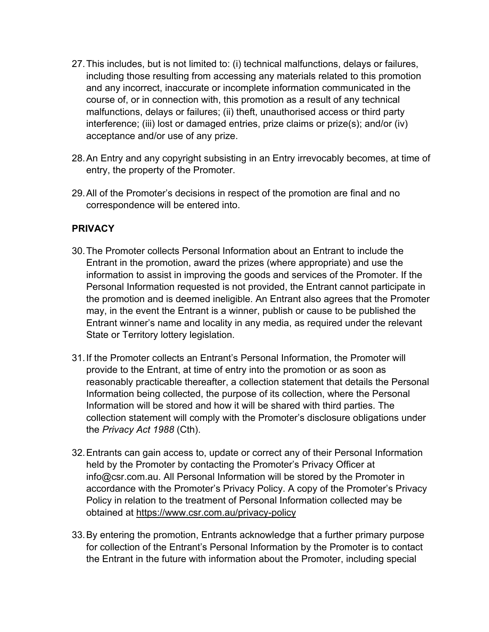- 27.This includes, but is not limited to: (i) technical malfunctions, delays or failures, including those resulting from accessing any materials related to this promotion and any incorrect, inaccurate or incomplete information communicated in the course of, or in connection with, this promotion as a result of any technical malfunctions, delays or failures; (ii) theft, unauthorised access or third party interference; (iii) lost or damaged entries, prize claims or prize(s); and/or (iv) acceptance and/or use of any prize.
- 28.An Entry and any copyright subsisting in an Entry irrevocably becomes, at time of entry, the property of the Promoter.
- 29.All of the Promoter's decisions in respect of the promotion are final and no correspondence will be entered into.

## **PRIVACY**

- 30.The Promoter collects Personal Information about an Entrant to include the Entrant in the promotion, award the prizes (where appropriate) and use the information to assist in improving the goods and services of the Promoter. If the Personal Information requested is not provided, the Entrant cannot participate in the promotion and is deemed ineligible. An Entrant also agrees that the Promoter may, in the event the Entrant is a winner, publish or cause to be published the Entrant winner's name and locality in any media, as required under the relevant State or Territory lottery legislation.
- 31.If the Promoter collects an Entrant's Personal Information, the Promoter will provide to the Entrant, at time of entry into the promotion or as soon as reasonably practicable thereafter, a collection statement that details the Personal Information being collected, the purpose of its collection, where the Personal Information will be stored and how it will be shared with third parties. The collection statement will comply with the Promoter's disclosure obligations under the *Privacy Act 1988* (Cth).
- 32.Entrants can gain access to, update or correct any of their Personal Information held by the Promoter by contacting the Promoter's Privacy Officer at info@csr.com.au. All Personal Information will be stored by the Promoter in accordance with the Promoter's Privacy Policy. A copy of the Promoter's Privacy Policy in relation to the treatment of Personal Information collected may be obtained at https://www.csr.com.au/privacy-policy
- 33.By entering the promotion, Entrants acknowledge that a further primary purpose for collection of the Entrant's Personal Information by the Promoter is to contact the Entrant in the future with information about the Promoter, including special